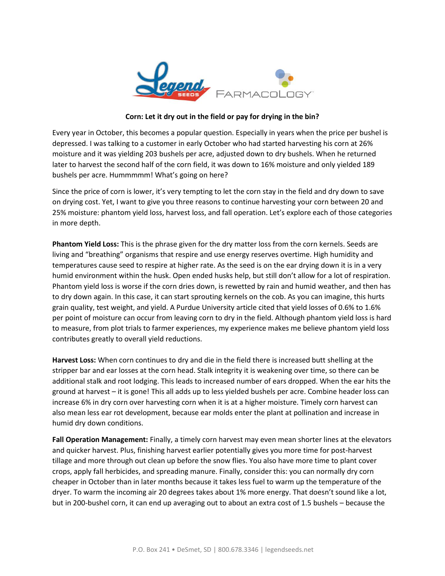

## **Corn: Let it dry out in the field or pay for drying in the bin?**

Every year in October, this becomes a popular question. Especially in years when the price per bushel is depressed. I was talking to a customer in early October who had started harvesting his corn at 26% moisture and it was yielding 203 bushels per acre, adjusted down to dry bushels. When he returned later to harvest the second half of the corn field, it was down to 16% moisture and only yielded 189 bushels per acre. Hummmmm! What's going on here?

Since the price of corn is lower, it's very tempting to let the corn stay in the field and dry down to save on drying cost. Yet, I want to give you three reasons to continue harvesting your corn between 20 and 25% moisture: phantom yield loss, harvest loss, and fall operation. Let's explore each of those categories in more depth.

**Phantom Yield Loss:** This is the phrase given for the dry matter loss from the corn kernels. Seeds are living and "breathing" organisms that respire and use energy reserves overtime. High humidity and temperatures cause seed to respire at higher rate. As the seed is on the ear drying down it is in a very humid environment within the husk. Open ended husks help, but still don't allow for a lot of respiration. Phantom yield loss is worse if the corn dries down, is rewetted by rain and humid weather, and then has to dry down again. In this case, it can start sprouting kernels on the cob. As you can imagine, this hurts grain quality, test weight, and yield. A Purdue University article cited that yield losses of 0.6% to 1.6% per point of moisture can occur from leaving corn to dry in the field. Although phantom yield loss is hard to measure, from plot trials to farmer experiences, my experience makes me believe phantom yield loss contributes greatly to overall yield reductions.

**Harvest Loss:** When corn continues to dry and die in the field there is increased butt shelling at the stripper bar and ear losses at the corn head. Stalk integrity it is weakening over time, so there can be additional stalk and root lodging. This leads to increased number of ears dropped. When the ear hits the ground at harvest – it is gone! This all adds up to less yielded bushels per acre. Combine header loss can increase 6% in dry corn over harvesting corn when it is at a higher moisture. Timely corn harvest can also mean less ear rot development, because ear molds enter the plant at pollination and increase in humid dry down conditions.

**Fall Operation Management:** Finally, a timely corn harvest may even mean shorter lines at the elevators and quicker harvest. Plus, finishing harvest earlier potentially gives you more time for post-harvest tillage and more through out clean up before the snow flies. You also have more time to plant cover crops, apply fall herbicides, and spreading manure. Finally, consider this: you can normally dry corn cheaper in October than in later months because it takes less fuel to warm up the temperature of the dryer. To warm the incoming air 20 degrees takes about 1% more energy. That doesn't sound like a lot, but in 200-bushel corn, it can end up averaging out to about an extra cost of 1.5 bushels – because the